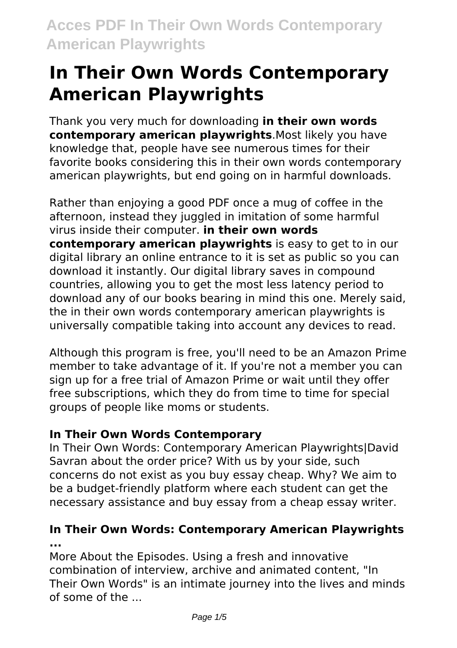Thank you very much for downloading **in their own words contemporary american playwrights**.Most likely you have knowledge that, people have see numerous times for their favorite books considering this in their own words contemporary american playwrights, but end going on in harmful downloads.

Rather than enjoying a good PDF once a mug of coffee in the afternoon, instead they juggled in imitation of some harmful virus inside their computer. **in their own words contemporary american playwrights** is easy to get to in our digital library an online entrance to it is set as public so you can download it instantly. Our digital library saves in compound countries, allowing you to get the most less latency period to download any of our books bearing in mind this one. Merely said, the in their own words contemporary american playwrights is universally compatible taking into account any devices to read.

Although this program is free, you'll need to be an Amazon Prime member to take advantage of it. If you're not a member you can sign up for a free trial of Amazon Prime or wait until they offer free subscriptions, which they do from time to time for special groups of people like moms or students.

#### **In Their Own Words Contemporary**

In Their Own Words: Contemporary American Playwrights|David Savran about the order price? With us by your side, such concerns do not exist as you buy essay cheap. Why? We aim to be a budget-friendly platform where each student can get the necessary assistance and buy essay from a cheap essay writer.

### **In Their Own Words: Contemporary American Playwrights ...**

More About the Episodes. Using a fresh and innovative combination of interview, archive and animated content, "In Their Own Words" is an intimate journey into the lives and minds of some of the ...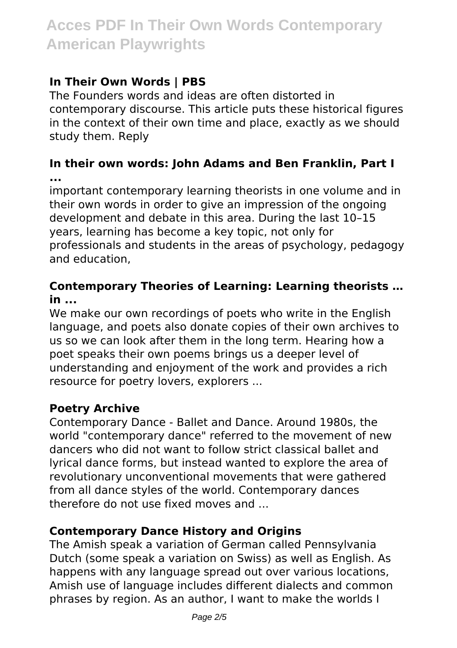## **In Their Own Words | PBS**

The Founders words and ideas are often distorted in contemporary discourse. This article puts these historical figures in the context of their own time and place, exactly as we should study them. Reply

**In their own words: John Adams and Ben Franklin, Part I ...**

important contemporary learning theorists in one volume and in their own words in order to give an impression of the ongoing development and debate in this area. During the last 10–15 years, learning has become a key topic, not only for professionals and students in the areas of psychology, pedagogy and education,

#### **Contemporary Theories of Learning: Learning theorists … in ...**

We make our own recordings of poets who write in the English language, and poets also donate copies of their own archives to us so we can look after them in the long term. Hearing how a poet speaks their own poems brings us a deeper level of understanding and enjoyment of the work and provides a rich resource for poetry lovers, explorers ...

#### **Poetry Archive**

Contemporary Dance - Ballet and Dance. Around 1980s, the world "contemporary dance" referred to the movement of new dancers who did not want to follow strict classical ballet and lyrical dance forms, but instead wanted to explore the area of revolutionary unconventional movements that were gathered from all dance styles of the world. Contemporary dances therefore do not use fixed moves and ...

#### **Contemporary Dance History and Origins**

The Amish speak a variation of German called Pennsylvania Dutch (some speak a variation on Swiss) as well as English. As happens with any language spread out over various locations, Amish use of language includes different dialects and common phrases by region. As an author, I want to make the worlds I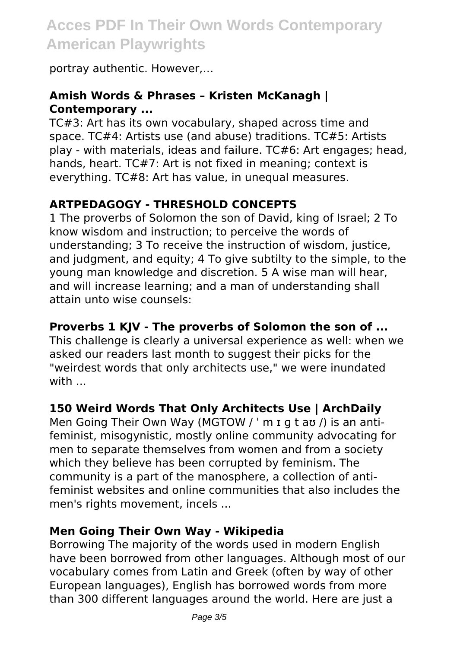portray authentic. However,…

## **Amish Words & Phrases – Kristen McKanagh | Contemporary ...**

TC#3: Art has its own vocabulary, shaped across time and space. TC#4: Artists use (and abuse) traditions. TC#5: Artists play - with materials, ideas and failure. TC#6: Art engages; head, hands, heart. TC#7: Art is not fixed in meaning; context is everything. TC#8: Art has value, in unequal measures.

### **ARTPEDAGOGY - THRESHOLD CONCEPTS**

1 The proverbs of Solomon the son of David, king of Israel; 2 To know wisdom and instruction; to perceive the words of understanding; 3 To receive the instruction of wisdom, justice, and judgment, and equity; 4 To give subtilty to the simple, to the young man knowledge and discretion. 5 A wise man will hear, and will increase learning; and a man of understanding shall attain unto wise counsels:

#### **Proverbs 1 KJV - The proverbs of Solomon the son of ...**

This challenge is clearly a universal experience as well: when we asked our readers last month to suggest their picks for the "weirdest words that only architects use," we were inundated with ...

#### **150 Weird Words That Only Architects Use | ArchDaily**

Men Going Their Own Way (MGTOW / ' m I g t av /) is an antifeminist, misogynistic, mostly online community advocating for men to separate themselves from women and from a society which they believe has been corrupted by feminism. The community is a part of the manosphere, a collection of antifeminist websites and online communities that also includes the men's rights movement, incels ...

#### **Men Going Their Own Way - Wikipedia**

Borrowing The majority of the words used in modern English have been borrowed from other languages. Although most of our vocabulary comes from Latin and Greek (often by way of other European languages), English has borrowed words from more than 300 different languages around the world. Here are just a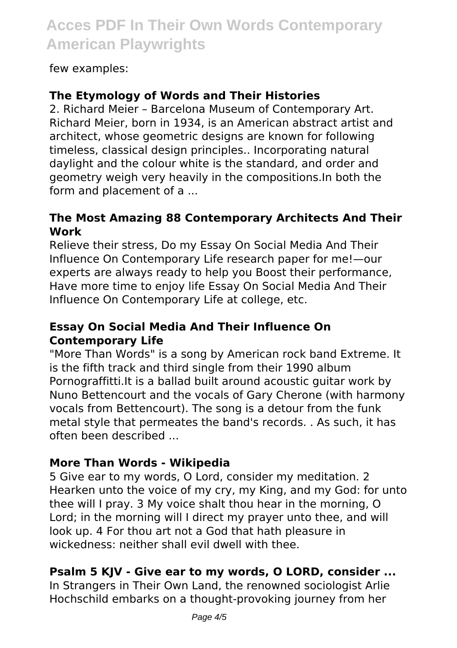few examples:

### **The Etymology of Words and Their Histories**

2. Richard Meier – Barcelona Museum of Contemporary Art. Richard Meier, born in 1934, is an American abstract artist and architect, whose geometric designs are known for following timeless, classical design principles.. Incorporating natural daylight and the colour white is the standard, and order and geometry weigh very heavily in the compositions.In both the form and placement of a ...

#### **The Most Amazing 88 Contemporary Architects And Their Work**

Relieve their stress, Do my Essay On Social Media And Their Influence On Contemporary Life research paper for me!—our experts are always ready to help you Boost their performance, Have more time to enjoy life Essay On Social Media And Their Influence On Contemporary Life at college, etc.

#### **Essay On Social Media And Their Influence On Contemporary Life**

"More Than Words" is a song by American rock band Extreme. It is the fifth track and third single from their 1990 album Pornograffitti.It is a ballad built around acoustic guitar work by Nuno Bettencourt and the vocals of Gary Cherone (with harmony vocals from Bettencourt). The song is a detour from the funk metal style that permeates the band's records. . As such, it has often been described ...

#### **More Than Words - Wikipedia**

5 Give ear to my words, O Lord, consider my meditation. 2 Hearken unto the voice of my cry, my King, and my God: for unto thee will I pray. 3 My voice shalt thou hear in the morning, O Lord; in the morning will I direct my prayer unto thee, and will look up. 4 For thou art not a God that hath pleasure in wickedness: neither shall evil dwell with thee.

#### **Psalm 5 KJV - Give ear to my words, O LORD, consider ...**

In Strangers in Their Own Land, the renowned sociologist Arlie Hochschild embarks on a thought-provoking journey from her